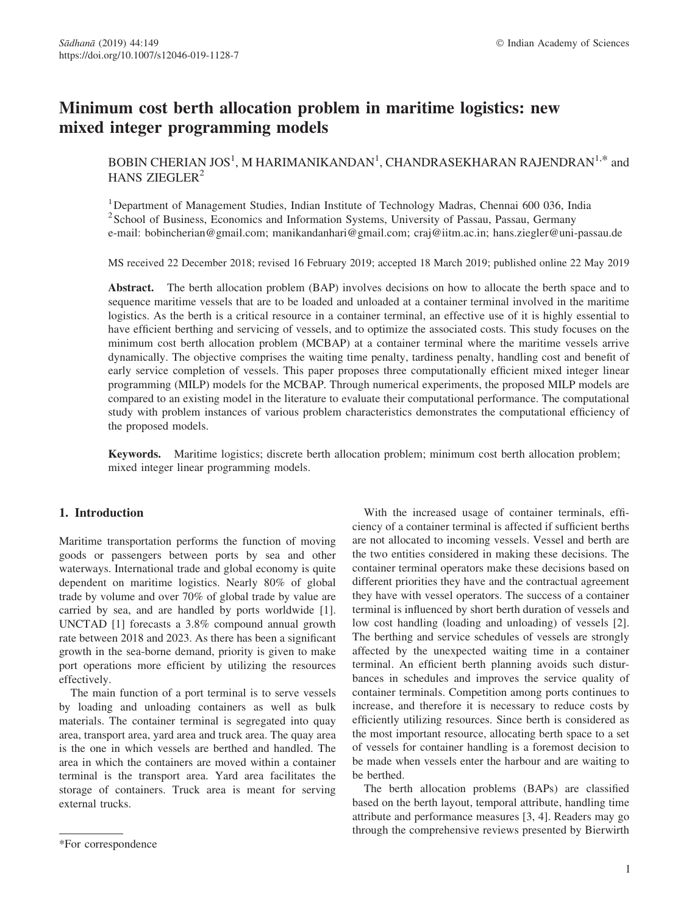# Minimum cost berth allocation problem in maritime logistics: new mixed integer programming models

BOBIN CHERIAN JOS $^1$ , M HARIMANIKANDAN $^1$ , CHANDRASEKHARAN RAJENDRAN $^{1,\ast}$  and HANS ZIEGLER<sup>2</sup>

<sup>1</sup>Department of Management Studies, Indian Institute of Technology Madras, Chennai 600 036, India <sup>2</sup> School of Business, Economics and Information Systems, University of Passau, Passau, Germany e-mail: bobincherian@gmail.com; manikandanhari@gmail.com; craj@iitm.ac.in; hans.ziegler@uni-passau.de

MS received 22 December 2018; revised 16 February 2019; accepted 18 March 2019; published online 22 May 2019

Abstract. The berth allocation problem (BAP) involves decisions on how to allocate the berth space and to sequence maritime vessels that are to be loaded and unloaded at a container terminal involved in the maritime logistics. As the berth is a critical resource in a container terminal, an effective use of it is highly essential to have efficient berthing and servicing of vessels, and to optimize the associated costs. This study focuses on the minimum cost berth allocation problem (MCBAP) at a container terminal where the maritime vessels arrive dynamically. The objective comprises the waiting time penalty, tardiness penalty, handling cost and benefit of early service completion of vessels. This paper proposes three computationally efficient mixed integer linear programming (MILP) models for the MCBAP. Through numerical experiments, the proposed MILP models are compared to an existing model in the literature to evaluate their computational performance. The computational study with problem instances of various problem characteristics demonstrates the computational efficiency of the proposed models.

Keywords. Maritime logistics; discrete berth allocation problem; minimum cost berth allocation problem; mixed integer linear programming models.

# 1. Introduction

Maritime transportation performs the function of moving goods or passengers between ports by sea and other waterways. International trade and global economy is quite dependent on maritime logistics. Nearly 80% of global trade by volume and over 70% of global trade by value are carried by sea, and are handled by ports worldwide [1]. UNCTAD [1] forecasts a 3.8% compound annual growth rate between 2018 and 2023. As there has been a significant growth in the sea-borne demand, priority is given to make port operations more efficient by utilizing the resources effectively.

The main function of a port terminal is to serve vessels by loading and unloading containers as well as bulk materials. The container terminal is segregated into quay area, transport area, yard area and truck area. The quay area is the one in which vessels are berthed and handled. The area in which the containers are moved within a container terminal is the transport area. Yard area facilitates the storage of containers. Truck area is meant for serving external trucks.

ciency of a container terminal is affected if sufficient berths are not allocated to incoming vessels. Vessel and berth are the two entities considered in making these decisions. The container terminal operators make these decisions based on different priorities they have and the contractual agreement they have with vessel operators. The success of a container terminal is influenced by short berth duration of vessels and low cost handling (loading and unloading) of vessels [2]. The berthing and service schedules of vessels are strongly affected by the unexpected waiting time in a container terminal. An efficient berth planning avoids such disturbances in schedules and improves the service quality of container terminals. Competition among ports continues to increase, and therefore it is necessary to reduce costs by efficiently utilizing resources. Since berth is considered as the most important resource, allocating berth space to a set of vessels for container handling is a foremost decision to be made when vessels enter the harbour and are waiting to be berthed.

With the increased usage of container terminals, effi-

The berth allocation problems (BAPs) are classified based on the berth layout, temporal attribute, handling time attribute and performance measures [3, 4]. Readers may go through the comprehensive reviews presented by Bierwirth

<sup>\*</sup>For correspondence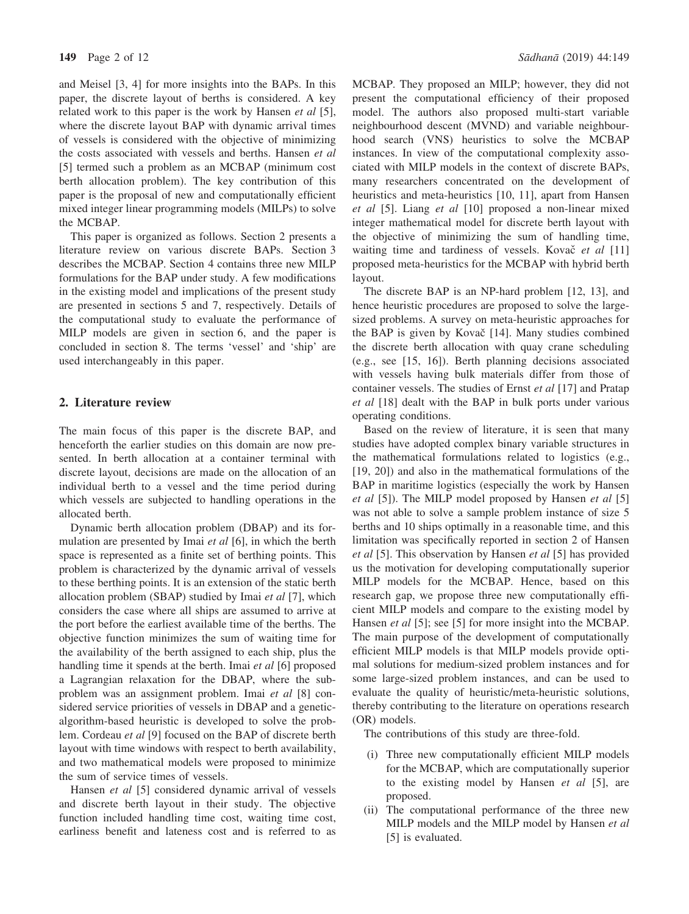and Meisel [3, 4] for more insights into the BAPs. In this paper, the discrete layout of berths is considered. A key related work to this paper is the work by Hansen *et al* [5], where the discrete layout BAP with dynamic arrival times of vessels is considered with the objective of minimizing the costs associated with vessels and berths. Hansen et al [5] termed such a problem as an MCBAP (minimum cost berth allocation problem). The key contribution of this paper is the proposal of new and computationally efficient mixed integer linear programming models (MILPs) to solve the MCBAP.

This paper is organized as follows. Section 2 presents a literature review on various discrete BAPs. Section 3 describes the MCBAP. Section 4 contains three new MILP formulations for the BAP under study. A few modifications in the existing model and implications of the present study are presented in sections 5 and 7, respectively. Details of the computational study to evaluate the performance of MILP models are given in section 6, and the paper is concluded in section 8. The terms 'vessel' and 'ship' are used interchangeably in this paper.

# 2. Literature review

The main focus of this paper is the discrete BAP, and henceforth the earlier studies on this domain are now presented. In berth allocation at a container terminal with discrete layout, decisions are made on the allocation of an individual berth to a vessel and the time period during which vessels are subjected to handling operations in the allocated berth.

Dynamic berth allocation problem (DBAP) and its formulation are presented by Imai et al [6], in which the berth space is represented as a finite set of berthing points. This problem is characterized by the dynamic arrival of vessels to these berthing points. It is an extension of the static berth allocation problem (SBAP) studied by Imai et al [7], which considers the case where all ships are assumed to arrive at the port before the earliest available time of the berths. The objective function minimizes the sum of waiting time for the availability of the berth assigned to each ship, plus the handling time it spends at the berth. Imai et al [6] proposed a Lagrangian relaxation for the DBAP, where the subproblem was an assignment problem. Imai et al [8] considered service priorities of vessels in DBAP and a geneticalgorithm-based heuristic is developed to solve the problem. Cordeau et al [9] focused on the BAP of discrete berth layout with time windows with respect to berth availability, and two mathematical models were proposed to minimize the sum of service times of vessels.

Hansen et al [5] considered dynamic arrival of vessels and discrete berth layout in their study. The objective function included handling time cost, waiting time cost, earliness benefit and lateness cost and is referred to as MCBAP. They proposed an MILP; however, they did not present the computational efficiency of their proposed model. The authors also proposed multi-start variable neighbourhood descent (MVND) and variable neighbourhood search (VNS) heuristics to solve the MCBAP instances. In view of the computational complexity associated with MILP models in the context of discrete BAPs, many researchers concentrated on the development of heuristics and meta-heuristics [10, 11], apart from Hansen et al [5]. Liang et al [10] proposed a non-linear mixed integer mathematical model for discrete berth layout with the objective of minimizing the sum of handling time, waiting time and tardiness of vessels. Kovač et al [11] proposed meta-heuristics for the MCBAP with hybrid berth layout.

The discrete BAP is an NP-hard problem [12, 13], and hence heuristic procedures are proposed to solve the largesized problems. A survey on meta-heuristic approaches for the BAP is given by Kovač [14]. Many studies combined the discrete berth allocation with quay crane scheduling (e.g., see [15, 16]). Berth planning decisions associated with vessels having bulk materials differ from those of container vessels. The studies of Ernst et al [17] and Pratap et al [18] dealt with the BAP in bulk ports under various operating conditions.

Based on the review of literature, it is seen that many studies have adopted complex binary variable structures in the mathematical formulations related to logistics (e.g., [19, 20]) and also in the mathematical formulations of the BAP in maritime logistics (especially the work by Hansen et al [5]). The MILP model proposed by Hansen et al [5] was not able to solve a sample problem instance of size 5 berths and 10 ships optimally in a reasonable time, and this limitation was specifically reported in section 2 of Hansen et al [5]. This observation by Hansen et al [5] has provided us the motivation for developing computationally superior MILP models for the MCBAP. Hence, based on this research gap, we propose three new computationally efficient MILP models and compare to the existing model by Hansen *et al* [5]; see [5] for more insight into the MCBAP. The main purpose of the development of computationally efficient MILP models is that MILP models provide optimal solutions for medium-sized problem instances and for some large-sized problem instances, and can be used to evaluate the quality of heuristic/meta-heuristic solutions, thereby contributing to the literature on operations research (OR) models.

The contributions of this study are three-fold.

- (i) Three new computationally efficient MILP models for the MCBAP, which are computationally superior to the existing model by Hansen et al [5], are proposed.
- (ii) The computational performance of the three new MILP models and the MILP model by Hansen et al [5] is evaluated.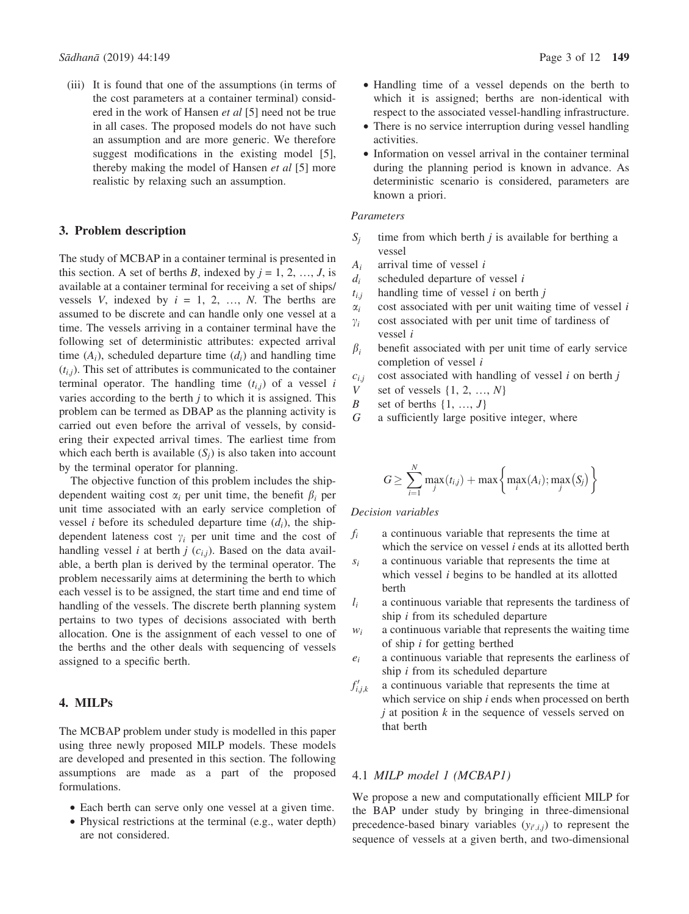(iii) It is found that one of the assumptions (in terms of the cost parameters at a container terminal) considered in the work of Hansen et al [5] need not be true in all cases. The proposed models do not have such an assumption and are more generic. We therefore suggest modifications in the existing model [5], thereby making the model of Hansen et al [5] more realistic by relaxing such an assumption.

## 3. Problem description

The study of MCBAP in a container terminal is presented in this section. A set of berths B, indexed by  $j = 1, 2, ..., J$ , is available at a container terminal for receiving a set of ships/ vessels V, indexed by  $i = 1, 2, ..., N$ . The berths are assumed to be discrete and can handle only one vessel at a time. The vessels arriving in a container terminal have the following set of deterministic attributes: expected arrival time  $(A_i)$ , scheduled departure time  $(d_i)$  and handling time  $(t_{i,j})$ . This set of attributes is communicated to the container terminal operator. The handling time  $(t_{i,j})$  of a vessel i varies according to the berth  $j$  to which it is assigned. This problem can be termed as DBAP as the planning activity is carried out even before the arrival of vessels, by considering their expected arrival times. The earliest time from which each berth is available  $(S_i)$  is also taken into account by the terminal operator for planning.

The objective function of this problem includes the shipdependent waiting cost  $\alpha_i$  per unit time, the benefit  $\beta_i$  per unit time associated with an early service completion of vessel *i* before its scheduled departure time  $(d_i)$ , the shipdependent lateness cost  $\gamma_i$  per unit time and the cost of handling vessel *i* at berth *j*  $(c_{i,j})$ . Based on the data available, a berth plan is derived by the terminal operator. The problem necessarily aims at determining the berth to which each vessel is to be assigned, the start time and end time of handling of the vessels. The discrete berth planning system pertains to two types of decisions associated with berth allocation. One is the assignment of each vessel to one of the berths and the other deals with sequencing of vessels assigned to a specific berth.

# 4. MILPs

The MCBAP problem under study is modelled in this paper using three newly proposed MILP models. These models are developed and presented in this section. The following assumptions are made as a part of the proposed formulations.

- Each berth can serve only one vessel at a given time.
- Physical restrictions at the terminal (e.g., water depth) are not considered.
- Handling time of a vessel depends on the berth to which it is assigned; berths are non-identical with respect to the associated vessel-handling infrastructure.
- There is no service interruption during vessel handling activities.
- Information on vessel arrival in the container terminal during the planning period is known in advance. As deterministic scenario is considered, parameters are known a priori.

#### Parameters

- $S_i$  time from which berth *i* is available for berthing a vessel
- $A_i$  arrival time of vessel i
- $d_i$  scheduled departure of vessel i
- $t_{i,j}$  handling time of vessel i on berth j
- $\alpha_i$  cost associated with per unit waiting time of vessel i
- $\gamma_i$  cost associated with per unit time of tardiness of vessel i
- $\beta_i$  benefit associated with per unit time of early service completion of vessel i
- $c_{i,j}$  cost associated with handling of vessel i on berth j
- $V$  set of vessels  $\{1, 2, ..., N\}$
- B set of berths  $\{1, ..., J\}$
- G a sufficiently large positive integer, where

$$
G \geq \sum_{i=1}^{N} \max_{j} (t_{i,j}) + \max \left\{ \max_{i} (A_i); \max_{j} (S_j) \right\}
$$

#### Decision variables

- $f_i$  a continuous variable that represents the time at which the service on vessel  $i$  ends at its allotted berth
- $s_i$  a continuous variable that represents the time at which vessel *i* begins to be handled at its allotted berth
- $l_i$  a continuous variable that represents the tardiness of ship i from its scheduled departure
- $w_i$  a continuous variable that represents the waiting time of ship  $i$  for getting berthed
- $e_i$  a continuous variable that represents the earliness of ship i from its scheduled departure
- $f'_{i,j,k}$ a continuous variable that represents the time at which service on ship  $i$  ends when processed on berth  $j$  at position  $k$  in the sequence of vessels served on that berth

# 4.1 MILP model 1 (MCBAP1)

We propose a new and computationally efficient MILP for the BAP under study by bringing in three-dimensional precedence-based binary variables  $(y_{i',i,j})$  to represent the sequence of vessels at a given berth, and two-dimensional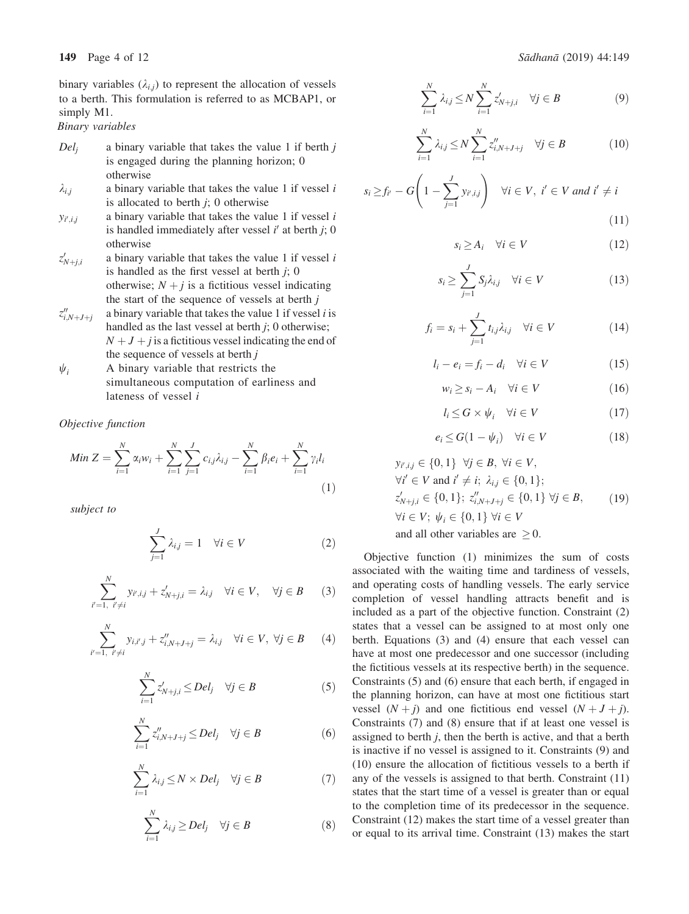binary variables  $(\lambda_{i,j})$  to represent the allocation of vessels to a berth. This formulation is referred to as MCBAP1, or simply M1.

Binary variables

- $Del<sub>i</sub>$  a binary variable that takes the value 1 if berth j is engaged during the planning horizon; 0 otherwise
- $\lambda_{i,j}$  a binary variable that takes the value 1 if vessel i is allocated to berth  $j$ ; 0 otherwise
- $y_{i'}$ a binary variable that takes the value 1 if vessel  $i$ is handled immediately after vessel  $i'$  at berth  $j$ ; 0 otherwise
- $z'_{N+i,i}$ a binary variable that takes the value 1 if vessel  $i$ is handled as the first vessel at berth  $j$ ; 0 otherwise;  $N + j$  is a fictitious vessel indicating the start of the sequence of vessels at berth  $j$
- $z''_{i,N+J+i}$ a binary variable that takes the value 1 if vessel  $i$  is handled as the last vessel at berth  $j$ ; 0 otherwise;  $N + J + j$  is a fictitious vessel indicating the end of the sequence of vessels at berth j
- $\psi_i$  A binary variable that restricts the simultaneous computation of earliness and lateness of vessel i

## Objective function

$$
Min Z = \sum_{i=1}^{N} \alpha_i w_i + \sum_{i=1}^{N} \sum_{j=1}^{J} c_{i,j} \lambda_{i,j} - \sum_{i=1}^{N} \beta_i e_i + \sum_{i=1}^{N} \gamma_i l_i
$$
\n(1)

subject to

$$
\sum_{j=1}^{J} \lambda_{i,j} = 1 \quad \forall i \in V \tag{2}
$$

$$
\sum_{i'=1, i'\neq i}^{N} y_{i',i,j} + z'_{N+j,i} = \lambda_{i,j} \quad \forall i \in V, \quad \forall j \in B \qquad (3)
$$

$$
\sum_{i'=1, i'\neq i}^{N} y_{i,i',j} + z_{i,N+J+j}'' = \lambda_{i,j} \quad \forall i \in V, \ \forall j \in B \qquad (4)
$$

$$
\sum_{i=1}^{N} z'_{N+j,i} \leq Del_j \quad \forall j \in B \tag{5}
$$

$$
\sum_{i=1}^{N} z_{i,N+J+j}'' \le Del_j \quad \forall j \in B
$$
 (6)

$$
\sum_{i=1}^{N} \lambda_{i,j} \le N \times Del_j \quad \forall j \in B \tag{7}
$$

$$
\sum_{i=1}^{N} \lambda_{i,j} \ge Del_j \quad \forall j \in B \tag{8}
$$

$$
\sum_{i=1}^{N} \lambda_{i,j} \leq N \sum_{i=1}^{N} z'_{N+j,i} \quad \forall j \in B
$$
 (9)

$$
\sum_{i=1}^{N} \lambda_{i,j} \le N \sum_{i=1}^{N} z_{i,N+J+j}^{"} \quad \forall j \in B
$$
 (10)

$$
s_i \ge f_{i'} - G\left(1 - \sum_{j=1}^J y_{i',i,j}\right) \quad \forall i \in V, \ i' \in V \ and \ i' \ne i
$$
\n
$$
(11)
$$

$$
s_i \ge A_i \quad \forall i \in V \tag{12}
$$

$$
s_i \ge \sum_{j=1}^{J} S_j \lambda_{i,j} \quad \forall i \in V \tag{13}
$$

$$
f_i = s_i + \sum_{j=1}^{J} t_{ij} \lambda_{i,j} \quad \forall i \in V \tag{14}
$$

$$
l_i - e_i = f_i - d_i \quad \forall i \in V \tag{15}
$$

$$
w_i \ge s_i - A_i \quad \forall i \in V \tag{16}
$$

$$
l_i \le G \times \psi_i \quad \forall i \in V \tag{17}
$$

$$
e_i \le G(1 - \psi_i) \quad \forall i \in V \tag{18}
$$

$$
y_{i',i,j} \in \{0,1\} \quad \forall j \in B, \forall i \in V,
$$
  
\n
$$
\forall i' \in V \text{ and } i' \neq i; \lambda_{i,j} \in \{0,1\};
$$
  
\n
$$
z'_{N+j,i} \in \{0,1\}; z''_{i,N+j+j} \in \{0,1\} \quad \forall j \in B,
$$
  
\n
$$
\forall i \in V; \psi_i \in \{0,1\} \quad \forall i \in V
$$
  
\nand all other variables are  $\geq 0$ .

Objective function (1) minimizes the sum of costs associated with the waiting time and tardiness of vessels, and operating costs of handling vessels. The early service completion of vessel handling attracts benefit and is included as a part of the objective function. Constraint (2) states that a vessel can be assigned to at most only one berth. Equations (3) and (4) ensure that each vessel can have at most one predecessor and one successor (including the fictitious vessels at its respective berth) in the sequence. Constraints (5) and (6) ensure that each berth, if engaged in the planning horizon, can have at most one fictitious start vessel  $(N + j)$  and one fictitious end vessel  $(N + J + j)$ . Constraints (7) and (8) ensure that if at least one vessel is assigned to berth j, then the berth is active, and that a berth is inactive if no vessel is assigned to it. Constraints (9) and (10) ensure the allocation of fictitious vessels to a berth if any of the vessels is assigned to that berth. Constraint (11) states that the start time of a vessel is greater than or equal to the completion time of its predecessor in the sequence. Constraint (12) makes the start time of a vessel greater than or equal to its arrival time. Constraint (13) makes the start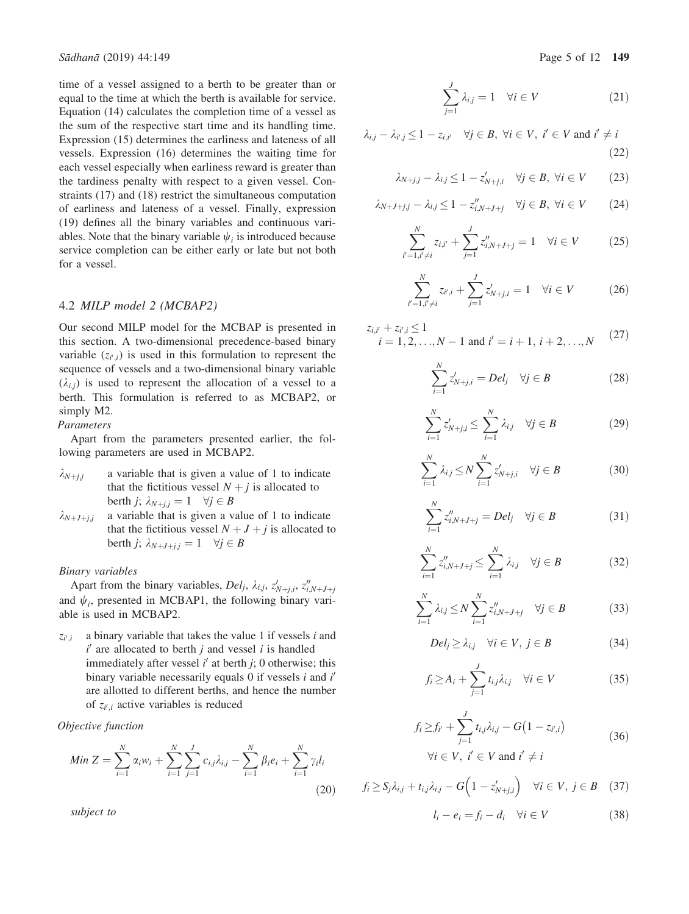time of a vessel assigned to a berth to be greater than or equal to the time at which the berth is available for service. Equation (14) calculates the completion time of a vessel as the sum of the respective start time and its handling time. Expression (15) determines the earliness and lateness of all vessels. Expression (16) determines the waiting time for each vessel especially when earliness reward is greater than the tardiness penalty with respect to a given vessel. Constraints (17) and (18) restrict the simultaneous computation of earliness and lateness of a vessel. Finally, expression (19) defines all the binary variables and continuous variables. Note that the binary variable  $\psi_i$  is introduced because service completion can be either early or late but not both for a vessel.

#### 4.2 MILP model 2 (MCBAP2)

Our second MILP model for the MCBAP is presented in this section. A two-dimensional precedence-based binary variable  $(z_{i',i})$  is used in this formulation to represent the sequence of vessels and a two-dimensional binary variable  $(\lambda_{i,j})$  is used to represent the allocation of a vessel to a berth. This formulation is referred to as MCBAP2, or simply M2.

#### Parameters

Apart from the parameters presented earlier, the following parameters are used in MCBAP2.

- $\lambda_{N+j,j}$  a variable that is given a value of 1 to indicate that the fictitious vessel  $N + j$  is allocated to berth j;  $\lambda_{N+j,j} = 1 \quad \forall j \in B$
- $\lambda_{N+J+j,j}$  a variable that is given a value of 1 to indicate that the fictitious vessel  $N + J + j$  is allocated to berth j;  $\lambda_{N+J+j,j} = 1 \quad \forall j \in B$

#### Binary variables

Apart from the binary variables,  $Del_j$ ,  $\lambda_{ij}$ ,  $z'_{N+j,i}$ ,  $z''_{i,N+J+j}$ and  $\psi_i$ , presented in MCBAP1, the following binary variable is used in MCBAP2.

 $z_{i'}$ a binary variable that takes the value 1 if vessels  $i$  and  $i'$  are allocated to berth j and vessel i is handled immediately after vessel  $i'$  at berth  $j$ ; 0 otherwise; this binary variable necessarily equals  $0$  if vessels  $i$  and  $i'$ are allotted to different berths, and hence the number of  $z_{i',i}$  active variables is reduced

# Objective function

$$
Min Z = \sum_{i=1}^{N} \alpha_i w_i + \sum_{i=1}^{N} \sum_{j=1}^{J} c_{i,j} \lambda_{i,j} - \sum_{i=1}^{N} \beta_i e_i + \sum_{i=1}^{N} \gamma_i l_i
$$
\n(20)

subject to

$$
\sum_{j=1}^{J} \lambda_{i,j} = 1 \quad \forall i \in V \tag{21}
$$

 $\lambda_{i,j} - \lambda_{i',j} \leq 1 - z_{i,i'} \quad \forall j \in B, \ \forall i \in V, \ i' \in V \text{ and } i' \neq i$  $(22)$ 

$$
\lambda_{N+j,j} - \lambda_{i,j} \le 1 - z'_{N+j,i} \quad \forall j \in B, \ \forall i \in V \tag{23}
$$

$$
\lambda_{N+J+j,j} - \lambda_{i,j} \le 1 - z''_{i,N+J+j} \quad \forall j \in B, \ \forall i \in V \tag{24}
$$

$$
\sum_{i'=1,i'\neq i}^{N} z_{i,i'} + \sum_{j=1}^{J} z_{i,N+J+j}'' = 1 \quad \forall i \in V \tag{25}
$$

$$
\sum_{i'=1, i'\neq i}^{N} z_{i',i} + \sum_{j=1}^{J} z'_{N+j,i} = 1 \quad \forall i \in V \tag{26}
$$

$$
z_{i,i'} + z_{i',i} \le 1
$$
  
  $i = 1, 2, ..., N - 1$  and  $i' = i + 1, i + 2, ..., N$  (27)

$$
\sum_{i=1}^{N} z'_{N+j,i} = Del_j \quad \forall j \in B \tag{28}
$$

$$
\sum_{i=1}^{N} z'_{N+j,i} \le \sum_{i=1}^{N} \lambda_{i,j} \quad \forall j \in B
$$
 (29)

$$
\sum_{i=1}^{N} \lambda_{i,j} \le N \sum_{i=1}^{N} z'_{N+j,i} \quad \forall j \in B
$$
 (30)

$$
\sum_{i=1}^{N} z_{i,N+J+j}'' = Del_j \quad \forall j \in B \tag{31}
$$

$$
\sum_{i=1}^{N} z_{i,N+J+j}'' \le \sum_{i=1}^{N} \lambda_{i,j} \quad \forall j \in B
$$
 (32)

$$
\sum_{i=1}^{N} \lambda_{i,j} \leq N \sum_{i=1}^{N} z_{i,N+J+j}^{"} \quad \forall j \in B \tag{33}
$$

$$
Del_j \geq \lambda_{i,j} \quad \forall i \in V, j \in B \tag{34}
$$

$$
f_i \ge A_i + \sum_{j=1}^{J} t_{i,j} \lambda_{i,j} \quad \forall i \in V \tag{35}
$$

$$
f_i \ge f_{i'} + \sum_{j=1}^{J} t_{i,j} \lambda_{i,j} - G(1 - z_{i',i})
$$
  
\n
$$
\forall i \in V, \ i' \in V \text{ and } i' \ne i
$$
\n(36)

$$
f_i \ge S_j \lambda_{i,j} + t_{i,j} \lambda_{i,j} - G\Big(1 - z'_{N+j,i}\Big) \quad \forall i \in V, j \in B \quad (37)
$$

$$
l_i - e_i = f_i - d_i \quad \forall i \in V \quad (38)
$$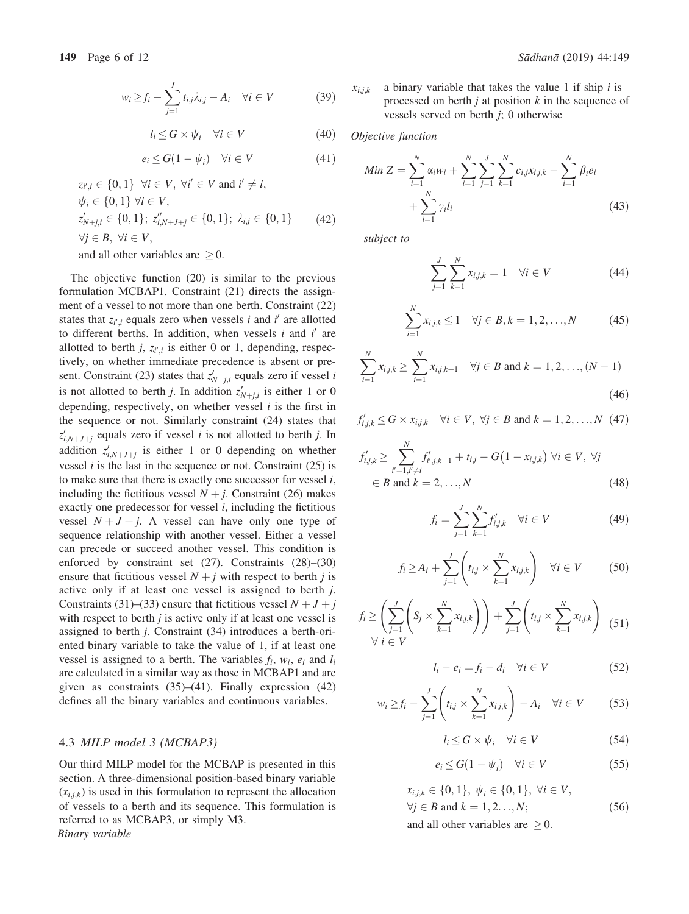$$
w_i \ge f_i - \sum_{j=1}^{J} t_{i,j} \lambda_{i,j} - A_i \quad \forall i \in V \tag{39}
$$

$$
l_i \le G \times \psi_i \quad \forall i \in V \tag{40}
$$

$$
e_i \le G(1 - \psi_i) \quad \forall i \in V \tag{41}
$$

$$
z_{i',i} \in \{0,1\} \ \forall i \in V, \ \forall i' \in V \text{ and } i' \neq i, \n\psi_i \in \{0,1\} \ \forall i \in V, \nz'_{N+j,i} \in \{0,1\}; \ z''_{i,N+J+j} \in \{0,1\}; \ \lambda_{i,j} \in \{0,1\} \tag{42} \n\forall j \in B, \ \forall i \in V, \n\mathbf{1}_{N,j} \in \{0,1\} \quad \forall j \in J.
$$

and all other variables are  $\geq 0$ .

The objective function (20) is similar to the previous formulation MCBAP1. Constraint (21) directs the assignment of a vessel to not more than one berth. Constraint (22) states that  $z_{i',i}$  equals zero when vessels i and i' are allotted to different berths. In addition, when vessels  $i$  and  $i'$  are allotted to berth j,  $z_{i',i}$  is either 0 or 1, depending, respectively, on whether immediate precedence is absent or present. Constraint (23) states that  $z'_{N+j,i}$  equals zero if vessel is is not allotted to berth *j*. In addition  $z'_{N+j,i}$  is either 1 or 0<br>depending recreatively on whether yoursal *i* is the first in depending, respectively, on whether vessel  $i$  is the first in the sequence or not. Similarly constraint (24) states that  $z'_{i,N+J+j}$  equals zero if vessel *i* is not allotted to berth *j*. In addition  $z'_{i,N+J+j}$  is either 1 or 0 depending on whether vessel  $i$  is the last in the sequence or not. Constraint (25) is to make sure that there is exactly one successor for vessel  $i$ , including the fictitious vessel  $N + j$ . Constraint (26) makes exactly one predecessor for vessel  $i$ , including the fictitious vessel  $N + J + j$ . A vessel can have only one type of sequence relationship with another vessel. Either a vessel can precede or succeed another vessel. This condition is enforced by constraint set (27). Constraints (28)–(30) ensure that fictitious vessel  $N + j$  with respect to berth j is active only if at least one vessel is assigned to berth j. Constraints (31)–(33) ensure that fictitious vessel  $N + J + j$ with respect to berth  $j$  is active only if at least one vessel is assigned to berth j. Constraint (34) introduces a berth-oriented binary variable to take the value of 1, if at least one vessel is assigned to a berth. The variables  $f_i$ ,  $w_i$ ,  $e_i$  and  $l_i$ are calculated in a similar way as those in MCBAP1 and are given as constraints (35)–(41). Finally expression (42) defines all the binary variables and continuous variables.

# 4.3 MILP model 3 (MCBAP3)

Our third MILP model for the MCBAP is presented in this section. A three-dimensional position-based binary variable  $(x_{i,j,k})$  is used in this formulation to represent the allocation of vessels to a berth and its sequence. This formulation is referred to as MCBAP3, or simply M3. Binary variable

 $x_{i,i,k}$  a binary variable that takes the value 1 if ship i is processed on berth  $j$  at position  $k$  in the sequence of vessels served on berth j; 0 otherwise

Objective function

$$
Min Z = \sum_{i=1}^{N} \alpha_i w_i + \sum_{i=1}^{N} \sum_{j=1}^{J} \sum_{k=1}^{N} c_{i,j} x_{i,j,k} - \sum_{i=1}^{N} \beta_i e_i
$$
  
+ 
$$
\sum_{i=1}^{N} \gamma_i l_i
$$
 (43)

subject to

$$
\sum_{j=1}^{J} \sum_{k=1}^{N} x_{i,j,k} = 1 \quad \forall i \in V
$$
 (44)

$$
\sum_{i=1}^{N} x_{i,j,k} \le 1 \quad \forall j \in B, k = 1, 2, ..., N \tag{45}
$$

$$
\sum_{i=1}^{N} x_{i,j,k} \ge \sum_{i=1}^{N} x_{i,j,k+1} \quad \forall j \in B \text{ and } k = 1, 2, ..., (N-1)
$$
\n(46)

$$
f'_{i,j,k} \le G \times x_{i,j,k} \quad \forall i \in V, \ \forall j \in B \text{ and } k = 1,2,\ldots,N \ \ (47)
$$

$$
f'_{i,j,k} \ge \sum_{i'=1, i'\ne i}^{N} f'_{i',j,k-1} + t_{i,j} - G(1 - x_{i,j,k}) \ \forall i \in V, \ \forall j
$$
  
\n
$$
\in B \text{ and } k = 2, ..., N
$$
\n(48)

$$
f_i = \sum_{j=1}^{J} \sum_{k=1}^{N} f'_{i,j,k} \quad \forall i \in V
$$
 (49)

$$
f_i \ge A_i + \sum_{j=1}^J \left( t_{i,j} \times \sum_{k=1}^N x_{i,j,k} \right) \quad \forall i \in V \tag{50}
$$

$$
f_i \ge \left(\sum_{j=1}^J \left(S_j \times \sum_{k=1}^N x_{i,j,k}\right)\right) + \sum_{j=1}^J \left(t_{i,j} \times \sum_{k=1}^N x_{i,j,k}\right) \tag{51}
$$

$$
l_i - e_i = f_i - d_i \quad \forall i \in V \tag{52}
$$

$$
w_i \ge f_i - \sum_{j=1}^J \left( t_{i,j} \times \sum_{k=1}^N x_{i,j,k} \right) - A_i \quad \forall i \in V \tag{53}
$$

$$
l_i \le G \times \psi_i \quad \forall i \in V \tag{54}
$$

$$
e_i \le G(1 - \psi_i) \quad \forall i \in V \tag{55}
$$

$$
x_{i,j,k} \in \{0, 1\}, \ \psi_i \in \{0, 1\}, \ \forall i \in V, \forall j \in B \text{ and } k = 1, 2, ..., N;
$$
 (56)

and all other variables are  $\geq 0$ .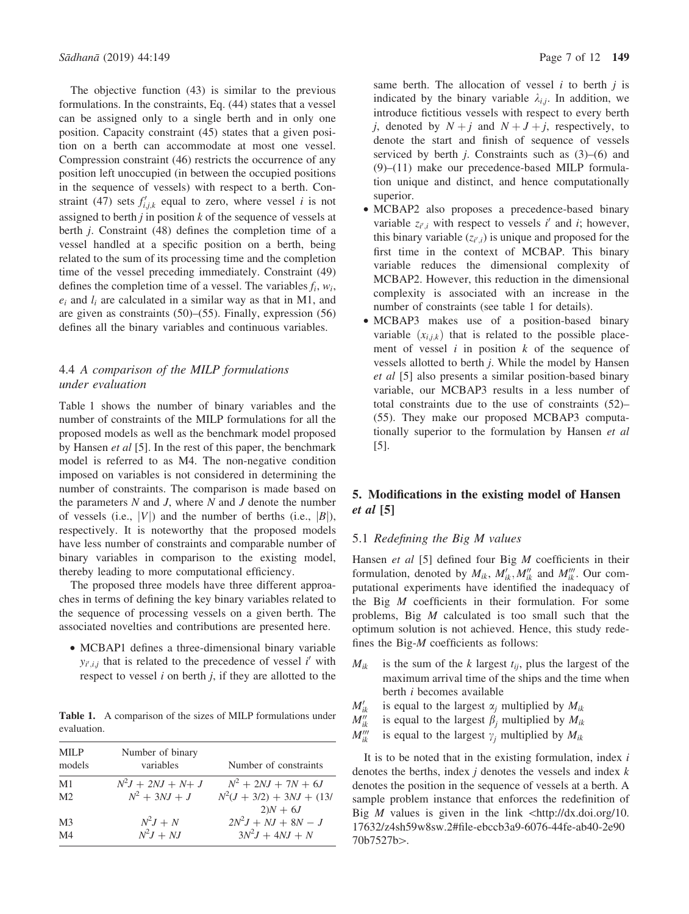The objective function (43) is similar to the previous formulations. In the constraints, Eq. (44) states that a vessel can be assigned only to a single berth and in only one position. Capacity constraint (45) states that a given position on a berth can accommodate at most one vessel. Compression constraint (46) restricts the occurrence of any position left unoccupied (in between the occupied positions in the sequence of vessels) with respect to a berth. Constraint (47) sets  $f'_{i,j,k}$  equal to zero, where vessel i is not assigned to berth  $j$  in position  $k$  of the sequence of vessels at berth j. Constraint (48) defines the completion time of a vessel handled at a specific position on a berth, being related to the sum of its processing time and the completion time of the vessel preceding immediately. Constraint (49) defines the completion time of a vessel. The variables  $f_i$ ,  $w_i$ ,  $e_i$  and  $l_i$  are calculated in a similar way as that in M1, and are given as constraints (50)–(55). Finally, expression (56) defines all the binary variables and continuous variables.

# 4.4 A comparison of the MILP formulations under evaluation

Table 1 shows the number of binary variables and the number of constraints of the MILP formulations for all the proposed models as well as the benchmark model proposed by Hansen et al [5]. In the rest of this paper, the benchmark model is referred to as M4. The non-negative condition imposed on variables is not considered in determining the number of constraints. The comparison is made based on the parameters  $N$  and  $J$ , where  $N$  and  $J$  denote the number of vessels (i.e.,  $|V|$ ) and the number of berths (i.e.,  $|B|$ ), respectively. It is noteworthy that the proposed models have less number of constraints and comparable number of binary variables in comparison to the existing model, thereby leading to more computational efficiency.

The proposed three models have three different approaches in terms of defining the key binary variables related to the sequence of processing vessels on a given berth. The associated novelties and contributions are presented here.

• MCBAP1 defines a three-dimensional binary variable  $y_{i',i,j}$  that is related to the precedence of vessel i' with respect to vessel  $i$  on berth  $j$ , if they are allotted to the

Table 1. A comparison of the sizes of MILP formulations under evaluation.

| <b>MILP</b><br>models | Number of binary<br>variables | Number of constraints   |
|-----------------------|-------------------------------|-------------------------|
| M <sub>1</sub>        | $N^2J + 2NJ + N + J$          | $N^2 + 2NJ + 7N + 6J$   |
| M <sub>2</sub>        | $N^2 + 3NJ + J$               | $N^2(J+3/2)+3NJ+(13/4)$ |
|                       |                               | $2)N + 6J$              |
| M <sub>3</sub>        | $N^2J+N$                      | $2N^2J + NJ + 8N - J$   |
| M <sub>4</sub>        | $N^2J + NJ$                   | $3N^2J + 4NJ + N$       |

same berth. The allocation of vessel  $i$  to berth  $j$  is indicated by the binary variable  $\lambda_{i,j}$ . In addition, we introduce fictitious vessels with respect to every berth j, denoted by  $N + j$  and  $N + J + j$ , respectively, to denote the start and finish of sequence of vessels serviced by berth *i*. Constraints such as  $(3)$ – $(6)$  and (9)–(11) make our precedence-based MILP formulation unique and distinct, and hence computationally superior.

- MCBAP2 also proposes a precedence-based binary variable  $z_{i',i}$  with respect to vessels  $i'$  and  $i$ ; however, this binary variable  $(z_{i',i})$  is unique and proposed for the first time in the context of MCBAP. This binary variable reduces the dimensional complexity of MCBAP2. However, this reduction in the dimensional complexity is associated with an increase in the number of constraints (see table 1 for details).
- MCBAP3 makes use of a position-based binary variable  $(x_{i,j,k})$  that is related to the possible placement of vessel  $i$  in position  $k$  of the sequence of vessels allotted to berth j. While the model by Hansen et al [5] also presents a similar position-based binary variable, our MCBAP3 results in a less number of total constraints due to the use of constraints (52)– (55). They make our proposed MCBAP3 computationally superior to the formulation by Hansen et al [5].

# 5. Modifications in the existing model of Hansen et al [5]

# 5.1 Redefining the Big M values

Hansen et al  $[5]$  defined four Big M coefficients in their formulation, denoted by  $M_{ik}$ ,  $M'_{ik}$ ,  $M''_{ik}$  and  $M'''_{ik}$ . Our computational experiments have identified the inadequacy of the Big  $M$  coefficients in their formulation. For some problems, Big M calculated is too small such that the optimum solution is not achieved. Hence, this study redefines the Big-M coefficients as follows:

- $M_{ik}$  is the sum of the k largest  $t_{ij}$ , plus the largest of the maximum arrival time of the ships and the time when berth i becomes available
- $M'_{ik}$ is equal to the largest  $\alpha_j$  multiplied by  $M_{ik}$
- $M''_{ik}$ is equal to the largest  $\beta_i$  multiplied by  $M_{ik}$
- $M_{ik}^{\prime\prime\prime}$ is equal to the largest  $\gamma_i$  multiplied by  $M_{ik}$

It is to be noted that in the existing formulation, index  $i$ denotes the berths, index  $j$  denotes the vessels and index  $k$ denotes the position in the sequence of vessels at a berth. A sample problem instance that enforces the redefinition of Big  $M$  values is given in the link <http://dx.doi.org/10. 17632/z4sh59w8sw.2#file-ebccb3a9-6076-44fe-ab40-2e90 70b7527b>.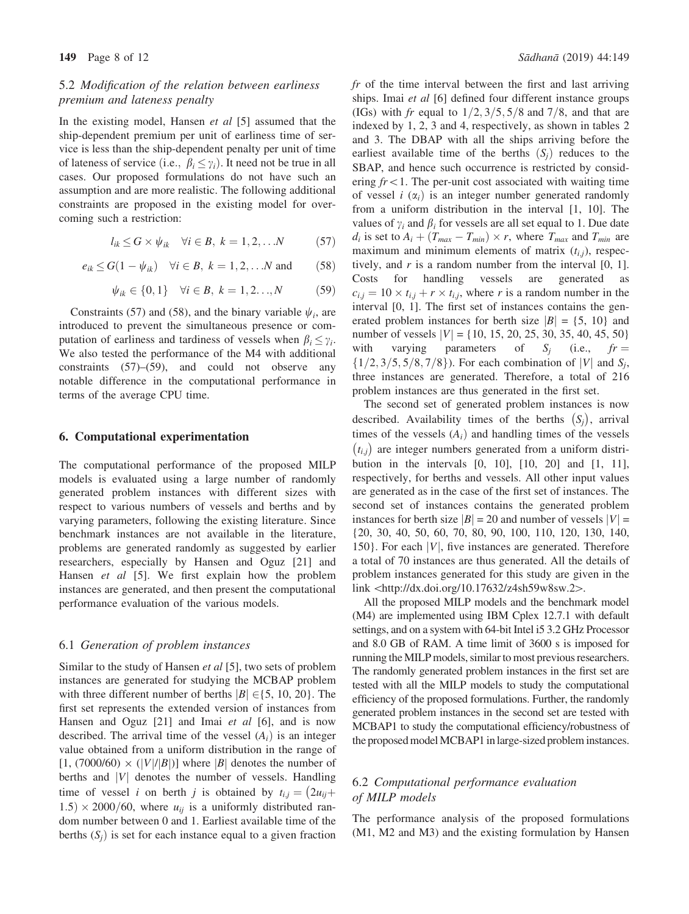# 5.2 Modification of the relation between earliness premium and lateness penalty

In the existing model. Hansen *et al* [5] assumed that the ship-dependent premium per unit of earliness time of service is less than the ship-dependent penalty per unit of time of lateness of service (i.e.,  $\beta_i \leq \gamma_i$ ). It need not be true in all cases. Our proposed formulations do not have such an assumption and are more realistic. The following additional constraints are proposed in the existing model for overcoming such a restriction:

$$
l_{ik} \le G \times \psi_{ik} \quad \forall i \in B, \ k = 1, 2, \dots N \tag{57}
$$

$$
e_{ik} \le G(1 - \psi_{ik}) \quad \forall i \in B, \ k = 1, 2, \dots N \text{ and } \qquad (58)
$$

$$
\psi_{ik} \in \{0, 1\} \quad \forall i \in B, \ k = 1, 2, ..., N
$$
 (59)

Constraints (57) and (58), and the binary variable  $\psi_i$ , are introduced to prevent the simultaneous presence or computation of earliness and tardiness of vessels when  $\beta_i \leq \gamma_i$ . We also tested the performance of the M4 with additional constraints (57)–(59), and could not observe any notable difference in the computational performance in terms of the average CPU time.

#### 6. Computational experimentation

The computational performance of the proposed MILP models is evaluated using a large number of randomly generated problem instances with different sizes with respect to various numbers of vessels and berths and by varying parameters, following the existing literature. Since benchmark instances are not available in the literature, problems are generated randomly as suggested by earlier researchers, especially by Hansen and Oguz [21] and Hansen *et al* [5]. We first explain how the problem instances are generated, and then present the computational performance evaluation of the various models.

#### 6.1 Generation of problem instances

Similar to the study of Hansen *et al* [5], two sets of problem instances are generated for studying the MCBAP problem with three different number of berths  $|B| \in \{5, 10, 20\}$ . The first set represents the extended version of instances from Hansen and Oguz [21] and Imai et al [6], and is now described. The arrival time of the vessel  $(A_i)$  is an integer value obtained from a uniform distribution in the range of  $[1, (7000/60) \times (|V|/|B|)]$  where |B| denotes the number of berths and  $|V|$  denotes the number of vessels. Handling time of vessel *i* on berth *j* is obtained by  $t_{ij} = (2u_{ij} + 1.5) \times 2000/60$  where *u* is a uniformly distributed ran  $1.5 \times 2000/60$ , where  $u_{ii}$  is a uniformly distributed random number between 0 and 1. Earliest available time of the berths  $(S_i)$  is set for each instance equal to a given fraction fr of the time interval between the first and last arriving ships. Imai et al [6] defined four different instance groups (IGs) with fr equal to  $1/2$ ,  $3/5$ ,  $5/8$  and 7/8, and that are indexed by 1, 2, 3 and 4, respectively, as shown in tables 2 and 3. The DBAP with all the ships arriving before the earliest available time of the berths  $(S_i)$  reduces to the SBAP, and hence such occurrence is restricted by considering  $fr<1$ . The per-unit cost associated with waiting time of vessel  $i(\alpha_i)$  is an integer number generated randomly from a uniform distribution in the interval [1, 10]. The values of  $\gamma_i$  and  $\beta_i$  for vessels are all set equal to 1. Due date  $d_i$  is set to  $A_i + (T_{max} - T_{min}) \times r$ , where  $T_{max}$  and  $T_{min}$  are maximum and minimum elements of matrix  $(t_{i,j})$ , respectively, and  $r$  is a random number from the interval  $[0, 1]$ . Costs for handling vessels are generated as  $c_{i,j} = 10 \times t_{i,j} + r \times t_{i,j}$ , where r is a random number in the interval [0, 1]. The first set of instances contains the generated problem instances for berth size  $|B| = \{5, 10\}$  and number of vessels  $|V| = \{10, 15, 20, 25, 30, 35, 40, 45, 50\}$ <br>with varying parameters of  $S_i$  (i.e.,  $fr =$ with varying parameters of  $S_j$  (i.e.,  $fr =$  41/2 3/5 5/8 7/8). For each combination of  $|V|$  and S.  $\{1/2, 3/5, 5/8, 7/8\}$ . For each combination of  $|V|$  and  $S_j$ , three instances are generated. Therefore, a total of 216 three instances are generated. Therefore, a total of 216 problem instances are thus generated in the first set.

The second set of generated problem instances is now described. Availability times of the berths  $(S_j)$ , arrival times of the vessels  $(A_i)$  and handling times of the vessels  $(t_{i,j})$  are integer numbers generated from a uniform distribution in the intervals [0, 10], [10, 20] and [1, 11], respectively, for berths and vessels. All other input values are generated as in the case of the first set of instances. The second set of instances contains the generated problem instances for berth size  $|B| = 20$  and number of vessels  $|V| =$ {20, 30, 40, 50, 60, 70, 80, 90, 100, 110, 120, 130, 140, 150}. For each  $|V|$ , five instances are generated. Therefore a total of 70 instances are thus generated. All the details of problem instances generated for this study are given in the link  $\text{thtp:}/\text{dx.doi.org}/10.17632/\text{z4sh59w8sw.2}$ .

All the proposed MILP models and the benchmark model (M4) are implemented using IBM Cplex 12.7.1 with default settings, and on a system with 64-bit Intel i5 3.2 GHz Processor and 8.0 GB of RAM. A time limit of 3600 s is imposed for running the MILP models, similar to most previous researchers. The randomly generated problem instances in the first set are tested with all the MILP models to study the computational efficiency of the proposed formulations. Further, the randomly generated problem instances in the second set are tested with MCBAP1 to study the computational efficiency/robustness of the proposed model MCBAP1 in large-sized problem instances.

# 6.2 Computational performance evaluation of MILP models

The performance analysis of the proposed formulations (M1, M2 and M3) and the existing formulation by Hansen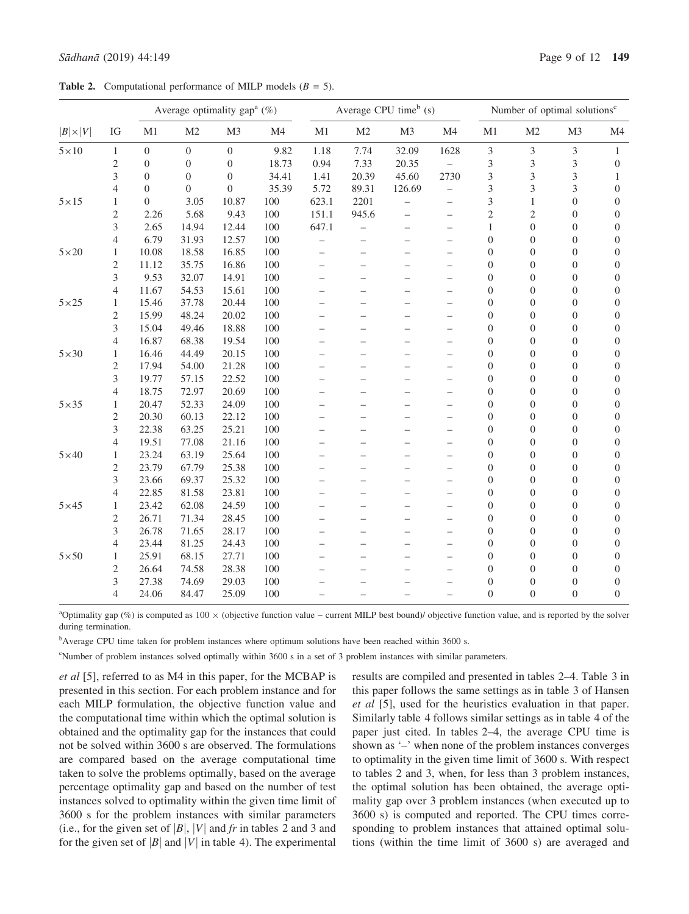**Table 2.** Computational performance of MILP models  $(B = 5)$ .

|                |                |                  | Average optimality gap <sup>a</sup> $(\%)$ |                  |                | Average CPU time <sup>b</sup> (s) |                          |                          |                          | Number of optimal solutions <sup>c</sup> |                  |                  |                  |
|----------------|----------------|------------------|--------------------------------------------|------------------|----------------|-----------------------------------|--------------------------|--------------------------|--------------------------|------------------------------------------|------------------|------------------|------------------|
| $ B \times V $ | IG             | M1               | M <sub>2</sub>                             | M <sub>3</sub>   | M <sub>4</sub> | M1                                | M <sub>2</sub>           | M <sub>3</sub>           | M <sub>4</sub>           | M1                                       | M <sub>2</sub>   | M <sub>3</sub>   | M <sub>4</sub>   |
| $5\times10$    | $\mathbf{1}$   | $\boldsymbol{0}$ | $\boldsymbol{0}$                           | $\boldsymbol{0}$ | 9.82           | 1.18                              | 7.74                     | 32.09                    | 1628                     | 3                                        | 3                | 3                | 1                |
|                | $\mathfrak{2}$ | $\overline{0}$   | $\overline{0}$                             | $\overline{0}$   | 18.73          | 0.94                              | 7.33                     | 20.35                    |                          | 3                                        | 3                | 3                | $\boldsymbol{0}$ |
|                | 3              | $\boldsymbol{0}$ | $\overline{0}$                             | $\boldsymbol{0}$ | 34.41          | 1.41                              | 20.39                    | 45.60                    | 2730                     | 3                                        | 3                | 3                | 1                |
|                | $\overline{4}$ | $\boldsymbol{0}$ | $\overline{0}$                             | $\boldsymbol{0}$ | 35.39          | 5.72                              | 89.31                    | 126.69                   | $\qquad \qquad -$        | 3                                        | 3                | 3                | $\boldsymbol{0}$ |
| $5 \times 15$  | $\mathbf{1}$   | $\boldsymbol{0}$ | 3.05                                       | 10.87            | 100            | 623.1                             | 2201                     | $\overline{\phantom{0}}$ | $\overline{\phantom{0}}$ | 3                                        | $\mathbf{1}$     | $\boldsymbol{0}$ | $\boldsymbol{0}$ |
|                | $\sqrt{2}$     | 2.26             | 5.68                                       | 9.43             | 100            | 151.1                             | 945.6                    |                          | $\overline{\phantom{0}}$ | 2                                        | $\overline{c}$   | $\boldsymbol{0}$ | $\boldsymbol{0}$ |
|                | 3              | 2.65             | 14.94                                      | 12.44            | 100            | 647.1                             |                          |                          | $\equiv$                 | 1                                        | $\boldsymbol{0}$ | $\boldsymbol{0}$ | $\boldsymbol{0}$ |
|                | $\overline{4}$ | 6.79             | 31.93                                      | 12.57            | 100            | $\equiv$                          |                          |                          | $\overline{\phantom{0}}$ | $\overline{0}$                           | $\overline{0}$   | $\boldsymbol{0}$ | $\boldsymbol{0}$ |
| $5 \times 20$  | $\mathbf{1}$   | 10.08            | 18.58                                      | 16.85            | 100            |                                   |                          |                          | $\overline{\phantom{0}}$ | $\theta$                                 | $\boldsymbol{0}$ | $\boldsymbol{0}$ | $\boldsymbol{0}$ |
|                | $\mathfrak{2}$ | 11.12            | 35.75                                      | 16.86            | 100            |                                   | $\overline{\phantom{0}}$ |                          | $\overline{\phantom{0}}$ | $\theta$                                 | $\boldsymbol{0}$ | $\boldsymbol{0}$ | $\boldsymbol{0}$ |
|                | 3              | 9.53             | 32.07                                      | 14.91            | 100            |                                   |                          |                          | $\overline{\phantom{0}}$ | $\theta$                                 | $\boldsymbol{0}$ | $\boldsymbol{0}$ | $\boldsymbol{0}$ |
|                | $\overline{4}$ | 11.67            | 54.53                                      | 15.61            | 100            |                                   |                          |                          | $\overline{\phantom{0}}$ | $\boldsymbol{0}$                         | $\boldsymbol{0}$ | $\boldsymbol{0}$ | $\boldsymbol{0}$ |
| $5\times25$    | $\mathbf{1}$   | 15.46            | 37.78                                      | 20.44            | 100            |                                   |                          |                          | $\overline{\phantom{0}}$ | $\boldsymbol{0}$                         | $\boldsymbol{0}$ | $\boldsymbol{0}$ | $\boldsymbol{0}$ |
|                | $\mathfrak{2}$ | 15.99            | 48.24                                      | 20.02            | 100            |                                   |                          |                          | $\equiv$                 | $\boldsymbol{0}$                         | $\boldsymbol{0}$ | $\boldsymbol{0}$ | $\boldsymbol{0}$ |
|                | 3              | 15.04            | 49.46                                      | 18.88            | 100            |                                   | $\equiv$                 | $\overline{\phantom{0}}$ | $\overline{\phantom{0}}$ | $\boldsymbol{0}$                         | $\boldsymbol{0}$ | $\boldsymbol{0}$ | $\boldsymbol{0}$ |
|                | $\overline{4}$ | 16.87            | 68.38                                      | 19.54            | 100            |                                   | $\equiv$                 | $\overline{\phantom{0}}$ | $\overline{\phantom{0}}$ | $\boldsymbol{0}$                         | $\boldsymbol{0}$ | $\boldsymbol{0}$ | $\boldsymbol{0}$ |
| $5 \times 30$  | $\mathbf{1}$   | 16.46            | 44.49                                      | 20.15            | 100            |                                   |                          |                          | $\equiv$                 | 0                                        | $\boldsymbol{0}$ | $\boldsymbol{0}$ | $\boldsymbol{0}$ |
|                | $\mathfrak{2}$ | 17.94            | 54.00                                      | 21.28            | 100            |                                   |                          |                          | $\overline{\phantom{0}}$ | $\boldsymbol{0}$                         | $\boldsymbol{0}$ | $\boldsymbol{0}$ | $\boldsymbol{0}$ |
|                | 3              | 19.77            | 57.15                                      | 22.52            | 100            |                                   |                          |                          | $\overline{\phantom{0}}$ | $\boldsymbol{0}$                         | $\boldsymbol{0}$ | $\boldsymbol{0}$ | $\boldsymbol{0}$ |
|                | $\overline{4}$ | 18.75            | 72.97                                      | 20.69            | 100            |                                   | $\overline{\phantom{0}}$ |                          | $\overline{\phantom{0}}$ | $\overline{0}$                           | $\overline{0}$   | $\boldsymbol{0}$ | $\mathbf{0}$     |
| $5 \times 35$  | $\mathbf{1}$   | 20.47            | 52.33                                      | 24.09            | 100            |                                   |                          | —                        | $\overline{\phantom{0}}$ | $\theta$                                 | $\overline{0}$   | $\boldsymbol{0}$ | $\mathbf{0}$     |
|                | $\mathfrak{2}$ | 20.30            | 60.13                                      | 22.12            | 100            |                                   |                          |                          | $\overline{\phantom{0}}$ | $\theta$                                 | $\boldsymbol{0}$ | $\boldsymbol{0}$ | $\boldsymbol{0}$ |
|                | 3              | 22.38            | 63.25                                      | 25.21            | 100            |                                   |                          |                          | $\overline{\phantom{0}}$ | $\boldsymbol{0}$                         | $\boldsymbol{0}$ | $\boldsymbol{0}$ | $\boldsymbol{0}$ |
|                | $\overline{4}$ | 19.51            | 77.08                                      | 21.16            | 100            |                                   |                          |                          | $\overline{\phantom{0}}$ | $\boldsymbol{0}$                         | $\boldsymbol{0}$ | $\boldsymbol{0}$ | $\boldsymbol{0}$ |
| $5\times 40$   | $\mathbf{1}$   | 23.24            | 63.19                                      | 25.64            | 100            |                                   | $\equiv$                 | $\overline{\phantom{0}}$ | $\overline{\phantom{0}}$ | $\boldsymbol{0}$                         | $\boldsymbol{0}$ | $\boldsymbol{0}$ | $\boldsymbol{0}$ |
|                | $\mathfrak{2}$ | 23.79            | 67.79                                      | 25.38            | 100            |                                   |                          |                          | $\overline{\phantom{0}}$ | $\overline{0}$                           | $\overline{0}$   | $\boldsymbol{0}$ | $\mathbf{0}$     |
|                | 3              | 23.66            | 69.37                                      | 25.32            | 100            |                                   |                          | $\overline{\phantom{0}}$ | $\overline{\phantom{0}}$ | $\theta$                                 | $\overline{0}$   | $\boldsymbol{0}$ | $\boldsymbol{0}$ |
|                | $\overline{4}$ | 22.85            | 81.58                                      | 23.81            | 100            |                                   |                          |                          | $\overline{\phantom{0}}$ | $\overline{0}$                           | $\overline{0}$   | $\boldsymbol{0}$ | $\boldsymbol{0}$ |
| $5 \times 45$  | $\mathbf{1}$   | 23.42            | 62.08                                      | 24.59            | 100            |                                   |                          |                          | $\overline{\phantom{0}}$ | $\theta$                                 | $\boldsymbol{0}$ | $\boldsymbol{0}$ | $\boldsymbol{0}$ |
|                | $\mathfrak{2}$ | 26.71            | 71.34                                      | 28.45            | 100            |                                   | $\overline{\phantom{0}}$ |                          | $\overline{\phantom{0}}$ | $\theta$                                 | $\boldsymbol{0}$ | $\boldsymbol{0}$ | $\boldsymbol{0}$ |
|                | 3              | 26.78            | 71.65                                      | 28.17            | 100            |                                   |                          |                          | $\overline{\phantom{0}}$ | $\theta$                                 | $\boldsymbol{0}$ | $\boldsymbol{0}$ | $\boldsymbol{0}$ |
|                | $\overline{4}$ | 23.44            | 81.25                                      | 24.43            | 100            |                                   |                          |                          | $\overline{\phantom{0}}$ | $\theta$                                 | $\boldsymbol{0}$ | $\boldsymbol{0}$ | $\boldsymbol{0}$ |
| $5\times50$    | $\mathbf{1}$   | 25.91            | 68.15                                      | 27.71            | 100            |                                   |                          |                          | $\equiv$                 | $\boldsymbol{0}$                         | $\boldsymbol{0}$ | $\boldsymbol{0}$ | $\boldsymbol{0}$ |
|                | $\sqrt{2}$     | 26.64            | 74.58                                      | 28.38            | 100            |                                   |                          |                          | $\overline{\phantom{0}}$ | $\boldsymbol{0}$                         | $\boldsymbol{0}$ | $\boldsymbol{0}$ | $\boldsymbol{0}$ |
|                | 3              | 27.38            | 74.69                                      | 29.03            | 100            |                                   |                          |                          | $\overline{\phantom{0}}$ | $\boldsymbol{0}$                         | $\boldsymbol{0}$ | $\boldsymbol{0}$ | $\boldsymbol{0}$ |
|                | $\overline{4}$ | 24.06            | 84.47                                      | 25.09            | 100            |                                   |                          |                          | $\overline{\phantom{0}}$ | $\overline{0}$                           | $\overline{0}$   | $\overline{0}$   | $\boldsymbol{0}$ |

<sup>a</sup>Optimality gap (%) is computed as  $100 \times$  (objective function value – current MILP best bound)/ objective function value, and is reported by the solver during termination.

<sup>b</sup>Average CPU time taken for problem instances where optimum solutions have been reached within 3600 s.

c Number of problem instances solved optimally within 3600 s in a set of 3 problem instances with similar parameters.

et al [5], referred to as M4 in this paper, for the MCBAP is presented in this section. For each problem instance and for each MILP formulation, the objective function value and the computational time within which the optimal solution is obtained and the optimality gap for the instances that could not be solved within 3600 s are observed. The formulations are compared based on the average computational time taken to solve the problems optimally, based on the average percentage optimality gap and based on the number of test instances solved to optimality within the given time limit of 3600 s for the problem instances with similar parameters (i.e., for the given set of  $|B|$ , |V| and fr in tables 2 and 3 and for the given set of  $|B|$  and  $|V|$  in table 4). The experimental results are compiled and presented in tables 2–4. Table 3 in this paper follows the same settings as in table 3 of Hansen et al [5], used for the heuristics evaluation in that paper. Similarly table 4 follows similar settings as in table 4 of the paper just cited. In tables 2–4, the average CPU time is shown as '–' when none of the problem instances converges to optimality in the given time limit of 3600 s. With respect to tables 2 and 3, when, for less than 3 problem instances, the optimal solution has been obtained, the average optimality gap over 3 problem instances (when executed up to 3600 s) is computed and reported. The CPU times corresponding to problem instances that attained optimal solutions (within the time limit of 3600 s) are averaged and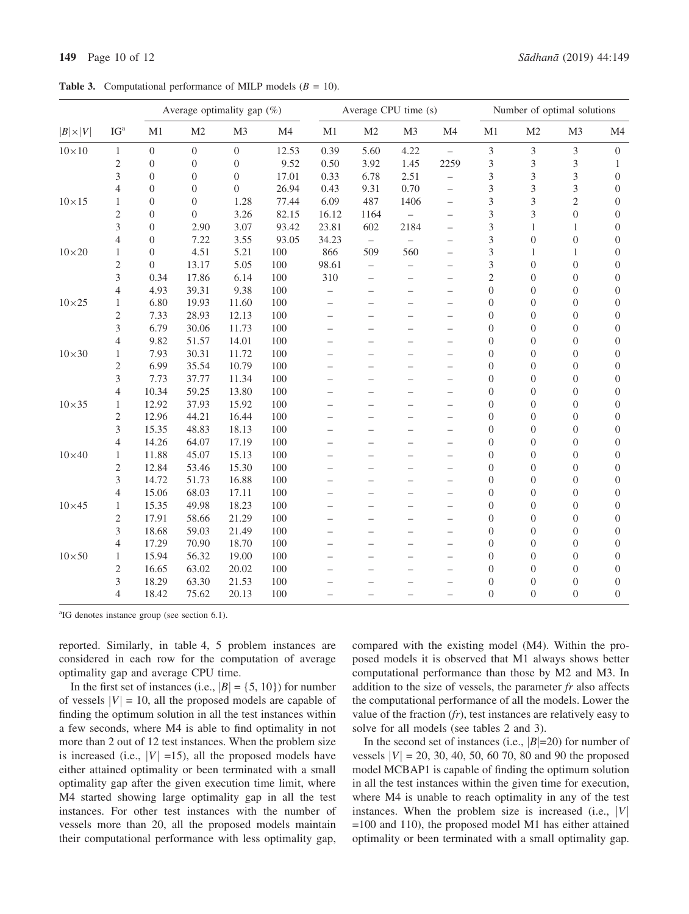|                |                 |                  | Average optimality gap $(\%)$ |                  |                | Average CPU time (s)     |                          |                          | Number of optimal solutions |                  |                             |                             |                  |
|----------------|-----------------|------------------|-------------------------------|------------------|----------------|--------------------------|--------------------------|--------------------------|-----------------------------|------------------|-----------------------------|-----------------------------|------------------|
| $ B \times V $ | IG <sup>a</sup> | M1               | M <sub>2</sub>                | M <sub>3</sub>   | M <sub>4</sub> | M1                       | M <sub>2</sub>           | M <sub>3</sub>           | M <sub>4</sub>              | M1               | M <sub>2</sub>              | M <sub>3</sub>              | M4               |
| $10\times10$   | $\mathbf{1}$    | $\boldsymbol{0}$ | $\boldsymbol{0}$              | $\boldsymbol{0}$ | 12.53          | 0.39                     | 5.60                     | 4.22                     | $\qquad \qquad -$           | $\mathfrak{Z}$   | $\ensuremath{\mathfrak{Z}}$ | $\ensuremath{\mathfrak{Z}}$ | $\boldsymbol{0}$ |
|                | $\mathfrak{2}$  | $\boldsymbol{0}$ | $\boldsymbol{0}$              | $\boldsymbol{0}$ | 9.52           | 0.50                     | 3.92                     | 1.45                     | 2259                        | 3                | 3                           | 3                           | 1                |
|                | 3               | $\overline{0}$   | $\overline{0}$                | $\overline{0}$   | 17.01          | 0.33                     | 6.78                     | 2.51                     | $\equiv$                    | 3                | 3                           | 3                           | $\boldsymbol{0}$ |
|                | $\overline{4}$  | $\boldsymbol{0}$ | $\boldsymbol{0}$              | $\overline{0}$   | 26.94          | 0.43                     | 9.31                     | 0.70                     | $\equiv$                    | 3                | 3                           | 3                           | $\boldsymbol{0}$ |
| $10\times15$   | $\mathbf{1}$    | $\boldsymbol{0}$ | $\boldsymbol{0}$              | 1.28             | 77.44          | 6.09                     | 487                      | 1406                     | $\overline{\phantom{0}}$    | 3                | 3                           | $\sqrt{2}$                  | $\boldsymbol{0}$ |
|                | $\mathfrak{2}$  | $\boldsymbol{0}$ | $\overline{0}$                | 3.26             | 82.15          | 16.12                    | 1164                     |                          | $\equiv$                    | 3                | 3                           | $\mathbf{0}$                | $\boldsymbol{0}$ |
|                | 3               | $\boldsymbol{0}$ | 2.90                          | 3.07             | 93.42          | 23.81                    | 602                      | 2184                     | $\equiv$                    | 3                | 1                           | $\mathbf{1}$                | $\overline{0}$   |
|                | 4               | $\overline{0}$   | 7.22                          | 3.55             | 93.05          | 34.23                    | $\equiv$                 | $\qquad \qquad -$        | $\equiv$                    | 3                | $\overline{0}$              | $\mathbf{0}$                | $\overline{0}$   |
| $10\times20$   | $\mathbf{1}$    | $\overline{0}$   | 4.51                          | 5.21             | 100            | 866                      | 509                      | 560                      | $\equiv$                    | 3                | 1                           | 1                           | $\overline{0}$   |
|                | $\overline{2}$  | $\overline{0}$   | 13.17                         | 5.05             | 100            | 98.61                    | $\equiv$                 | $\overline{\phantom{m}}$ | $\overline{\phantom{0}}$    | 3                | $\overline{0}$              | $\boldsymbol{0}$            | $\overline{0}$   |
|                | 3               | 0.34             | 17.86                         | 6.14             | 100            | 310                      | $\overline{\phantom{0}}$ | $\overline{\phantom{0}}$ | $\overline{\phantom{0}}$    | $\mathfrak{2}$   | $\boldsymbol{0}$            | $\boldsymbol{0}$            | $\overline{0}$   |
|                | $\overline{4}$  | 4.93             | 39.31                         | 9.38             | 100            |                          | $\overline{\phantom{0}}$ |                          | $\overline{\phantom{0}}$    | $\overline{0}$   | $\boldsymbol{0}$            | $\mathbf{0}$                | $\overline{0}$   |
| $10\times25$   | $\mathbf{1}$    | 6.80             | 19.93                         | 11.60            | 100            |                          |                          |                          | $\equiv$                    | $\boldsymbol{0}$ | $\mathbf{0}$                | $\mathbf{0}$                | $\boldsymbol{0}$ |
|                | $\overline{2}$  | 7.33             | 28.93                         | 12.13            | 100            |                          | $\overline{\phantom{0}}$ |                          | $\qquad \qquad -$           | $\boldsymbol{0}$ | $\boldsymbol{0}$            | $\boldsymbol{0}$            | $\boldsymbol{0}$ |
|                | 3               | 6.79             | 30.06                         | 11.73            | 100            | $\overline{\phantom{0}}$ | $\overline{\phantom{0}}$ | $\overline{\phantom{0}}$ | $\overline{\phantom{0}}$    | $\mathbf{0}$     | $\mathbf{0}$                | $\mathbf{0}$                | $\boldsymbol{0}$ |
|                | 4               | 9.82             | 51.57                         | 14.01            | 100            |                          | $\overline{\phantom{0}}$ |                          | $\overline{\phantom{0}}$    | $\overline{0}$   | $\boldsymbol{0}$            | $\boldsymbol{0}$            | $\overline{0}$   |
| $10\times30$   | $\mathbf{1}$    | 7.93             | 30.31                         | 11.72            | 100            |                          | L.                       |                          | $\equiv$                    | $\overline{0}$   | $\boldsymbol{0}$            | $\boldsymbol{0}$            | $\overline{0}$   |
|                | $\overline{2}$  | 6.99             | 35.54                         | 10.79            | 100            |                          | $\overline{\phantom{0}}$ |                          | $\overline{\phantom{0}}$    | $\overline{0}$   | $\boldsymbol{0}$            | $\boldsymbol{0}$            | $\overline{0}$   |
|                | 3               | 7.73             | 37.77                         | 11.34            | 100            | $\equiv$                 | $\overline{\phantom{0}}$ |                          | $\equiv$                    | $\overline{0}$   | $\overline{0}$              | $\overline{0}$              | $\Omega$         |
|                | 4               | 10.34            | 59.25                         | 13.80            | 100            | $\overline{\phantom{0}}$ | $\overline{\phantom{0}}$ |                          | $\overline{\phantom{0}}$    | $\theta$         | $\overline{0}$              | $\overline{0}$              | $\Omega$         |
| $10\times35$   | $\mathbf{1}$    | 12.92            | 37.93                         | 15.92            | 100            |                          | $\equiv$                 |                          | $\overline{\phantom{0}}$    | $\overline{0}$   | $\mathbf{0}$                | $\overline{0}$              | $\overline{0}$   |
|                | $\overline{c}$  | 12.96            | 44.21                         | 16.44            | 100            |                          | $\overline{\phantom{0}}$ |                          | $\overline{\phantom{0}}$    | $\boldsymbol{0}$ | $\boldsymbol{0}$            | $\boldsymbol{0}$            | $\boldsymbol{0}$ |
|                | 3               | 15.35            | 48.83                         | 18.13            | 100            |                          | $\overline{\phantom{0}}$ | $\overline{\phantom{0}}$ | $\overline{\phantom{0}}$    | $\mathbf{0}$     | $\boldsymbol{0}$            | $\boldsymbol{0}$            | $\boldsymbol{0}$ |
|                | 4               | 14.26            | 64.07                         | 17.19            | 100            |                          | $\overline{\phantom{0}}$ |                          | $\overline{\phantom{0}}$    | $\overline{0}$   | $\mathbf{0}$                | $\mathbf{0}$                | $\overline{0}$   |
| $10\times 40$  | $\mathbf{1}$    | 11.88            | 45.07                         | 15.13            | 100            |                          | $\overline{\phantom{0}}$ |                          | $\overline{\phantom{0}}$    | $\overline{0}$   | $\mathbf{0}$                | $\mathbf{0}$                | $\overline{0}$   |
|                | $\mathfrak{2}$  | 12.84            | 53.46                         | 15.30            | 100            |                          | $\overline{\phantom{0}}$ |                          | $\overline{\phantom{0}}$    | $\overline{0}$   | $\boldsymbol{0}$            | $\boldsymbol{0}$            | $\overline{0}$   |
|                | 3               | 14.72            | 51.73                         | 16.88            | 100            | $\overline{\phantom{a}}$ | $\overline{\phantom{0}}$ | $\overline{\phantom{0}}$ | $\overline{\phantom{0}}$    | $\overline{0}$   | $\boldsymbol{0}$            | $\boldsymbol{0}$            | $\overline{0}$   |
|                | 4               | 15.06            | 68.03                         | 17.11            | 100            |                          | $\overline{\phantom{0}}$ |                          | $\overline{\phantom{0}}$    | $\overline{0}$   | $\boldsymbol{0}$            | $\overline{0}$              | $\overline{0}$   |
| $10\times 45$  | $\mathbf{1}$    | 15.35            | 49.98                         | 18.23            | 100            |                          |                          |                          | $\overline{\phantom{0}}$    | $\overline{0}$   | $\boldsymbol{0}$            | $\overline{0}$              | $\overline{0}$   |
|                | $\mathfrak{2}$  | 17.91            | 58.66                         | 21.29            | 100            |                          | L.                       |                          | $\qquad \qquad -$           | $\overline{0}$   | $\mathbf{0}$                | $\mathbf{0}$                | $\overline{0}$   |
|                | 3               | 18.68            | 59.03                         | 21.49            | 100            |                          | $\overline{\phantom{0}}$ |                          | $\overline{\phantom{0}}$    | $\mathbf{0}$     | $\boldsymbol{0}$            | $\mathbf{0}$                | $\overline{0}$   |
|                | 4               | 17.29            | 70.90                         | 18.70            | 100            |                          | $\overline{\phantom{0}}$ |                          | $\overline{\phantom{0}}$    | $\mathbf{0}$     | $\mathbf{0}$                | $\mathbf{0}$                | $\boldsymbol{0}$ |
| $10\times50$   | $\mathbf{1}$    | 15.94            | 56.32                         | 19.00            | 100            |                          | $\overline{\phantom{0}}$ |                          | $\overline{\phantom{0}}$    | $\mathbf{0}$     | $\mathbf{0}$                | $\mathbf{0}$                | $\boldsymbol{0}$ |
|                | $\mathfrak{2}$  | 16.65            | 63.02                         | 20.02            | 100            |                          | $\overline{\phantom{0}}$ |                          | $\overline{\phantom{0}}$    | $\mathbf{0}$     | $\mathbf{0}$                | $\mathbf{0}$                | $\boldsymbol{0}$ |
|                | 3               | 18.29            | 63.30                         | 21.53            | 100            |                          | ÷,                       |                          | $\overline{\phantom{0}}$    | $\mathbf{0}$     | $\boldsymbol{0}$            | $\boldsymbol{0}$            | $\boldsymbol{0}$ |
|                | $\overline{4}$  | 18.42            | 75.62                         | 20.13            | 100            |                          | $\equiv$                 | $\sim$                   | $\overline{\phantom{0}}$    | $\overline{0}$   | $\overline{0}$              | $\overline{0}$              | $\overline{0}$   |

<sup>a</sup>IG denotes instance group (see section 6.1).

reported. Similarly, in table 4, 5 problem instances are considered in each row for the computation of average optimality gap and average CPU time.

In the first set of instances (i.e.,  $|B| = \{5, 10\}$ ) for number of vessels  $|V| = 10$ , all the proposed models are capable of finding the optimum solution in all the test instances within a few seconds, where M4 is able to find optimality in not more than 2 out of 12 test instances. When the problem size is increased (i.e.,  $|V| = 15$ ), all the proposed models have either attained optimality or been terminated with a small optimality gap after the given execution time limit, where M4 started showing large optimality gap in all the test instances. For other test instances with the number of vessels more than 20, all the proposed models maintain their computational performance with less optimality gap, compared with the existing model (M4). Within the proposed models it is observed that M1 always shows better computational performance than those by M2 and M3. In addition to the size of vessels, the parameter  $fr$  also affects the computational performance of all the models. Lower the value of the fraction (fr), test instances are relatively easy to solve for all models (see tables 2 and 3).

In the second set of instances (i.e.,  $|B|=20$ ) for number of vessels  $|V| = 20, 30, 40, 50, 60, 70, 80$  and 90 the proposed model MCBAP1 is capable of finding the optimum solution in all the test instances within the given time for execution, where M4 is unable to reach optimality in any of the test instances. When the problem size is increased (i.e.,  $|V|$ =100 and 110), the proposed model M1 has either attained optimality or been terminated with a small optimality gap.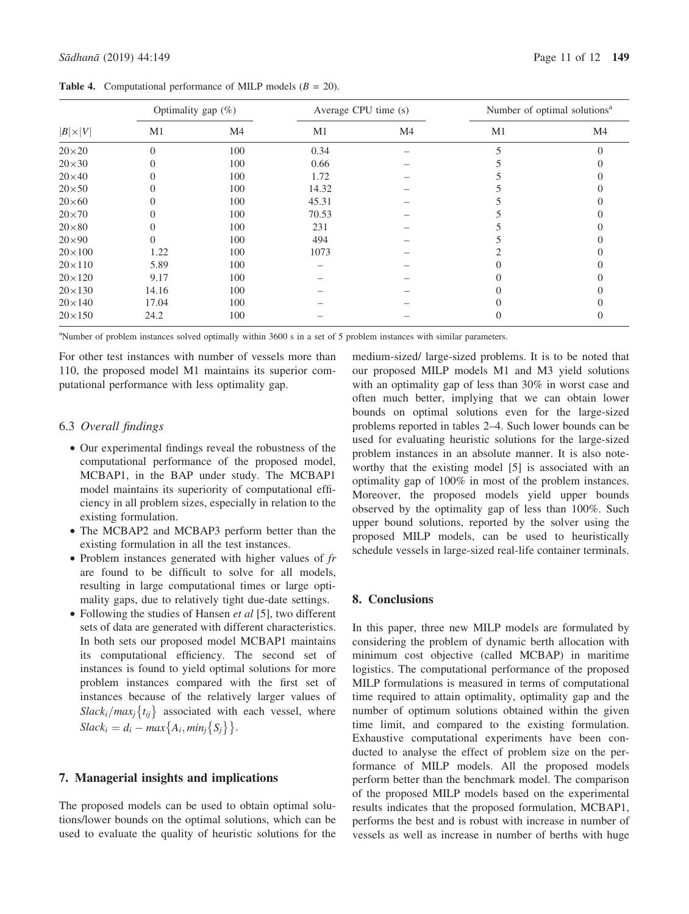|                    | Optimality gap $(\%)$ |     | Average CPU time (s) |    | Number of optimal solutions <sup>a</sup> |    |  |
|--------------------|-----------------------|-----|----------------------|----|------------------------------------------|----|--|
| $ B \!\times\! V $ | M1                    | M4  | M1                   | M4 | M1                                       | M4 |  |
| $20\times20$       | $\Omega$              | 100 | 0.34                 |    | 5                                        |    |  |
| $20\times30$       |                       | 100 | 0.66                 |    |                                          |    |  |
| $20\times 40$      |                       | 100 | 1.72                 |    |                                          |    |  |
| $20\times50$       | $\theta$              | 100 | 14.32                |    |                                          |    |  |
| $20\times 60$      | $\theta$              | 100 | 45.31                |    |                                          |    |  |
| $20\times70$       | 0                     | 100 | 70.53                |    |                                          |    |  |
| $20\times80$       |                       | 100 | 231                  |    |                                          |    |  |
| $20\times90$       | $\Omega$              | 100 | 494                  |    |                                          |    |  |
| $20\times100$      | 1.22                  | 100 | 1073                 |    |                                          |    |  |
| $20 \times 110$    | 5.89                  | 100 |                      |    |                                          |    |  |
| $20\times120$      | 9.17                  | 100 |                      |    |                                          |    |  |
| $20\times130$      | 14.16                 | 100 |                      |    |                                          |    |  |
| $20\times140$      | 17.04                 | 100 |                      |    |                                          |    |  |
| $20\times150$      | 24.2                  | 100 |                      |    | 0                                        |    |  |

**Table 4.** Computational performance of MILP models  $(B = 20)$ .

a Number of problem instances solved optimally within 3600 s in a set of 5 problem instances with similar parameters.

For other test instances with number of vessels more than 110, the proposed model M1 maintains its superior computational performance with less optimality gap.

## 6.3 Overall findings

- Our experimental findings reveal the robustness of the computational performance of the proposed model, MCBAP1, in the BAP under study. The MCBAP1 model maintains its superiority of computational efficiency in all problem sizes, especially in relation to the existing formulation.
- The MCBAP2 and MCBAP3 perform better than the existing formulation in all the test instances.
- Problem instances generated with higher values of  $fr$ are found to be difficult to solve for all models, resulting in large computational times or large optimality gaps, due to relatively tight due-date settings.
- Following the studies of Hansen  $et$  al [5], two different sets of data are generated with different characteristics. In both sets our proposed model MCBAP1 maintains its computational efficiency. The second set of instances is found to yield optimal solutions for more problem instances compared with the first set of instances because of the relatively larger values of  $Slack_i/max_j \{t_{ij}\}\$  associated with each vessel, where  $Slack_i = d_i - max\{A_i, min_j\{S_j\}\}.$

# 7. Managerial insights and implications

The proposed models can be used to obtain optimal solutions/lower bounds on the optimal solutions, which can be used to evaluate the quality of heuristic solutions for the

medium-sized/ large-sized problems. It is to be noted that our proposed MILP models M1 and M3 yield solutions with an optimality gap of less than 30% in worst case and often much better, implying that we can obtain lower bounds on optimal solutions even for the large-sized problems reported in tables 2–4. Such lower bounds can be used for evaluating heuristic solutions for the large-sized problem instances in an absolute manner. It is also noteworthy that the existing model [5] is associated with an optimality gap of 100% in most of the problem instances. Moreover, the proposed models yield upper bounds observed by the optimality gap of less than 100%. Such upper bound solutions, reported by the solver using the proposed MILP models, can be used to heuristically schedule vessels in large-sized real-life container terminals.

#### 8. Conclusions

In this paper, three new MILP models are formulated by considering the problem of dynamic berth allocation with minimum cost objective (called MCBAP) in maritime logistics. The computational performance of the proposed MILP formulations is measured in terms of computational time required to attain optimality, optimality gap and the number of optimum solutions obtained within the given time limit, and compared to the existing formulation. Exhaustive computational experiments have been conducted to analyse the effect of problem size on the performance of MILP models. All the proposed models perform better than the benchmark model. The comparison of the proposed MILP models based on the experimental results indicates that the proposed formulation, MCBAP1, performs the best and is robust with increase in number of vessels as well as increase in number of berths with huge